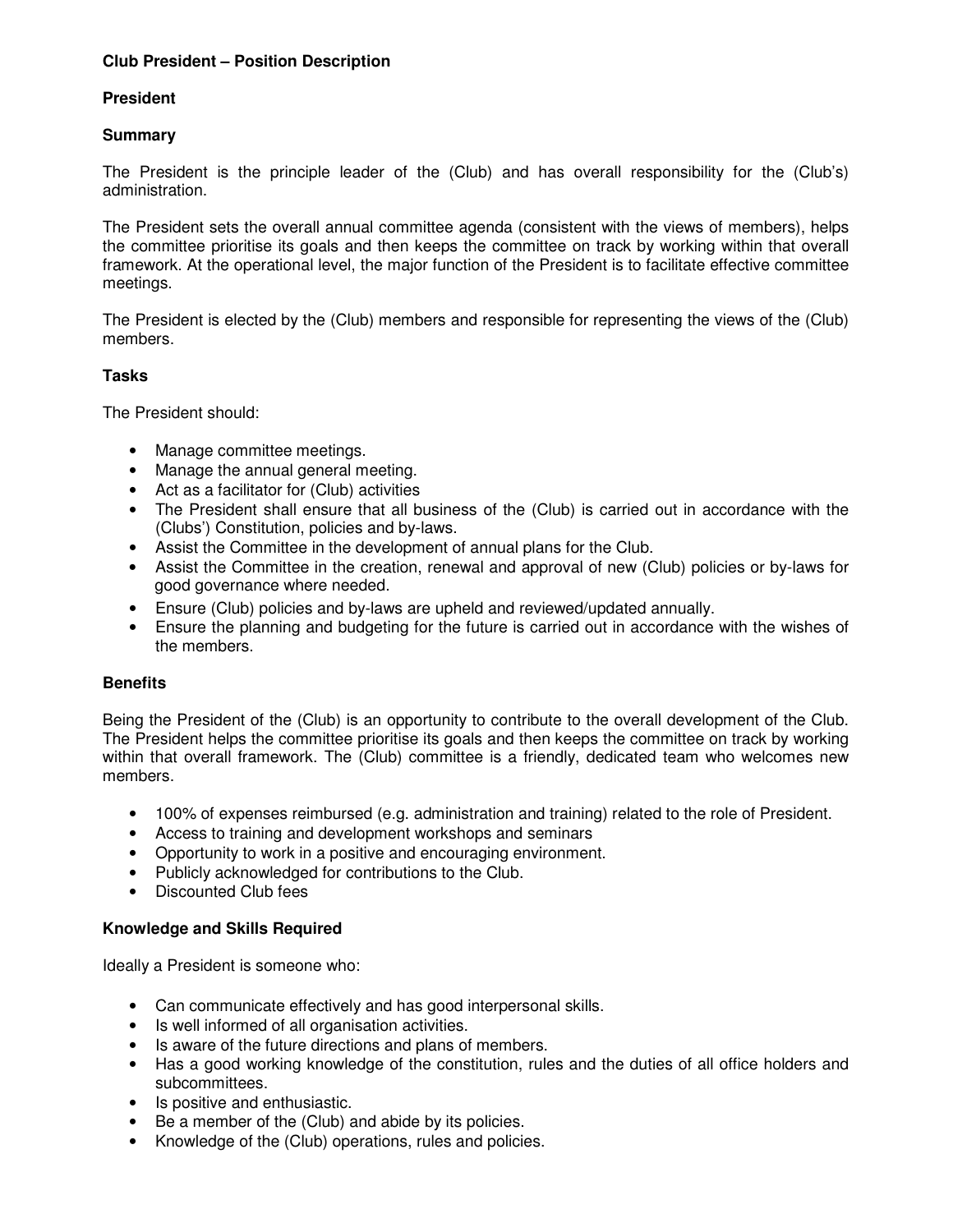## **Club President – Position Description**

#### **President**

#### **Summary**

The President is the principle leader of the (Club) and has overall responsibility for the (Club's) administration.

The President sets the overall annual committee agenda (consistent with the views of members), helps the committee prioritise its goals and then keeps the committee on track by working within that overall framework. At the operational level, the major function of the President is to facilitate effective committee meetings.

The President is elected by the (Club) members and responsible for representing the views of the (Club) members.

## **Tasks**

The President should:

- Manage committee meetings.
- Manage the annual general meeting.
- Act as a facilitator for (Club) activities
- The President shall ensure that all business of the (Club) is carried out in accordance with the (Clubs') Constitution, policies and by-laws.
- Assist the Committee in the development of annual plans for the Club.
- Assist the Committee in the creation, renewal and approval of new (Club) policies or by-laws for good governance where needed.
- Ensure (Club) policies and by-laws are upheld and reviewed/updated annually.
- Ensure the planning and budgeting for the future is carried out in accordance with the wishes of the members.

#### **Benefits**

Being the President of the (Club) is an opportunity to contribute to the overall development of the Club. The President helps the committee prioritise its goals and then keeps the committee on track by working within that overall framework. The (Club) committee is a friendly, dedicated team who welcomes new members.

- 100% of expenses reimbursed (e.g. administration and training) related to the role of President.
- Access to training and development workshops and seminars
- Opportunity to work in a positive and encouraging environment.
- Publicly acknowledged for contributions to the Club.
- Discounted Club fees

#### **Knowledge and Skills Required**

Ideally a President is someone who:

- Can communicate effectively and has good interpersonal skills.
- Is well informed of all organisation activities.
- Is aware of the future directions and plans of members.
- Has a good working knowledge of the constitution, rules and the duties of all office holders and subcommittees.
- Is positive and enthusiastic.
- Be a member of the (Club) and abide by its policies.
- Knowledge of the (Club) operations, rules and policies.